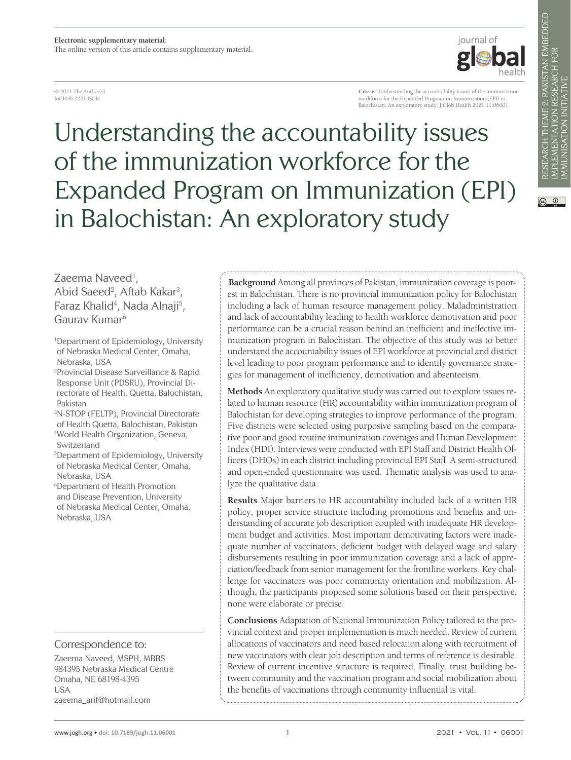© 2021 The Author(s) JoGH © 2021 ISGH

**Cite as:** Understanding the accountability issues of the immunization workforce for the Expanded Program on Immunization (EPI) in Balochistan: An exploratory study. J Glob Health 2021;11:06001.

iournal of

Understanding the accountability issues of the immunization workforce for the Expanded Program on Immunization (EPI) in Balochistan: An exploratory study

Zaeema Naveed<sup>1</sup>, Abid Saeed<sup>2</sup>, Aftab Kakar<sup>3</sup>, Faraz Khalid<sup>4</sup>, Nada Alnaji<sup>5</sup>, Gaurav Kumar6

1 Department of Epidemiology, University of Nebraska Medical Center, Omaha, Nebraska, USA

2 Provincial Disease Surveillance & Rapid Response Unit (PDSRU), Provincial Directorate of Health, Quetta, Balochistan, Pakistan 3 N-STOP (FELTP), Provincial Directorate

of Health Quetta, Balochistan, Pakistan 4 World Health Organization, Geneva, Switzerland

5 Department of Epidemiology, University of Nebraska Medical Center, Omaha, Nebraska, USA

6 Department of Health Promotion and Disease Prevention, University of Nebraska Medical Center, Omaha, Nebraska, USA

## Correspondence to:

Zaeema Naveed, MSPH, MBBS 984395 Nebraska Medical Centre Omaha, NE 68198-4395 USA zaeema\_arif@hotmail.com

**Background** Among all provinces of Pakistan, immunization coverage is poorest in Balochistan. There is no provincial immunization policy for Balochistan including a lack of human resource management policy. Maladministration and lack of accountability leading to health workforce demotivation and poor performance can be a crucial reason behind an inefficient and ineffective immunization program in Balochistan. The objective of this study was to better understand the accountability issues of EPI workforce at provincial and district level leading to poor program performance and to identify governance strategies for management of inefficiency, demotivation and absenteeism.

**Methods** An exploratory qualitative study was carried out to explore issues related to human resource (HR) accountability within immunization program of Balochistan for developing strategies to improve performance of the program. Five districts were selected using purposive sampling based on the comparative poor and good routine immunization coverages and Human Development Index (HDI). Interviews were conducted with EPI Staff and District Health Officers (DHOs) in each district including provincial EPI Staff. A semi-structured and open-ended questionnaire was used. Thematic analysis was used to analyze the qualitative data.

**Results** Major barriers to HR accountability included lack of a written HR policy, proper service structure including promotions and benefits and understanding of accurate job description coupled with inadequate HR development budget and activities. Most important demotivating factors were inadequate number of vaccinators, deficient budget with delayed wage and salary disbursements resulting in poor immunization coverage and a lack of appreciation/feedback from senior management for the frontline workers. Key challenge for vaccinators was poor community orientation and mobilization. Although, the participants proposed some solutions based on their perspective, none were elaborate or precise.

**Conclusions** Adaptation of National Immunization Policy tailored to the provincial context and proper implementation is much needed. Review of current allocations of vaccinators and need based relocation along with recruitment of new vaccinators with clear job description and terms of reference is desirable. Review of current incentive structure is required. Finally, trust building between community and the vaccination program and social mobilization about the benefits of vaccinations through community influential is vital.

 $\circledcirc$   $\circledcirc$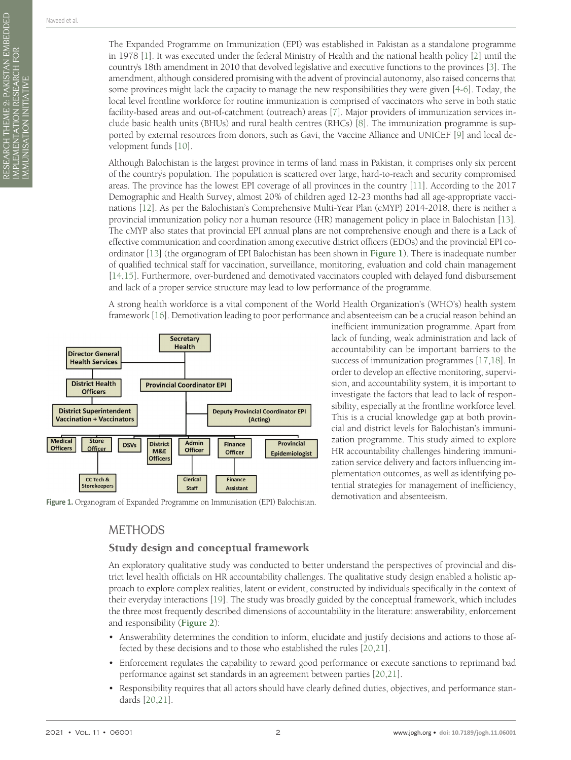The Expanded Programme on Immunization (EPI) was established in Pakistan as a standalone programme in 1978 [\[1](#page-8-0)]. It was executed under the federal Ministry of Health and the national health policy [\[2](#page-8-1)] until the country's 18th amendment in 2010 that devolved legislative and executive functions to the provinces [\[3](#page-8-2)]. The amendment, although considered promising with the advent of provincial autonomy, also raised concerns that some provinces might lack the capacity to manage the new responsibilities they were given [\[4](#page-8-3)[-6](#page-8-4)]. Today, the local level frontline workforce for routine immunization is comprised of vaccinators who serve in both static facility-based areas and out-of-catchment (outreach) areas [\[7](#page-8-5)]. Major providers of immunization services include basic health units (BHUs) and rural health centres (RHCs) [\[8](#page-8-6)]. The immunization programme is supported by external resources from donors, such as Gavi, the Vaccine Alliance and UNICEF [\[9](#page-8-7)] and local development funds [\[10](#page-8-8)].

Although Balochistan is the largest province in terms of land mass in Pakistan, it comprises only six percent of the country's population. The population is scattered over large, hard-to-reach and security compromised areas. The province has the lowest EPI coverage of all provinces in the country [[11\]](#page-8-9). According to the 2017 Demographic and Health Survey, almost 20% of children aged 12-23 months had all age-appropriate vaccinations [\[12](#page-8-10)]. As per the Balochistan's Comprehensive Multi-Year Plan (cMYP) 2014-2018, there is neither a provincial immunization policy nor a human resource (HR) management policy in place in Balochistan [[13\]](#page-8-11). The cMYP also states that provincial EPI annual plans are not comprehensive enough and there is a Lack of effective communication and coordination among executive district officers (EDOs) and the provincial EPI coordinator [[13\]](#page-8-11) (the organogram of EPI Balochistan has been shown in **[Figure 1](#page-1-0)**). There is inadequate number of qualified technical staff for vaccination, surveillance, monitoring, evaluation and cold chain management [[14](#page-8-12)[,15](#page-8-13)]. Furthermore, over-burdened and demotivated vaccinators coupled with delayed fund disbursement and lack of a proper service structure may lead to low performance of the programme.

A strong health workforce is a vital component of the World Health Organization's (WHO's) health system framework [\[16](#page-8-14)]. Demotivation leading to poor performance and absenteeism can be a crucial reason behind an

<span id="page-1-0"></span>

Figure 1. Organogram of Expanded Programme on Immunisation (EPI) Balochistan.

inefficient immunization programme. Apart from lack of funding, weak administration and lack of accountability can be important barriers to the success of immunization programmes [\[17](#page-8-15),[18](#page-8-16)]. In order to develop an effective monitoring, supervision, and accountability system, it is important to investigate the factors that lead to lack of responsibility, especially at the frontline workforce level. This is a crucial knowledge gap at both provincial and district levels for Balochistan's immunization programme. This study aimed to explore HR accountability challenges hindering immunization service delivery and factors influencing implementation outcomes, as well as identifying potential strategies for management of inefficiency, demotivation and absenteeism.

# METHODS

## Study design and conceptual framework

An exploratory qualitative study was conducted to better understand the perspectives of provincial and district level health officials on HR accountability challenges. The qualitative study design enabled a holistic approach to explore complex realities, latent or evident, constructed by individuals specifically in the context of their everyday interactions [\[19](#page-8-17)]. The study was broadly guided by the conceptual framework, which includes the three most frequently described dimensions of accountability in the literature: answerability, enforcement and responsibility (**[Figure 2](#page-2-0)**):

- Answerability determines the condition to inform, elucidate and justify decisions and actions to those affected by these decisions and to those who established the rules [\[20](#page-8-18),[21\]](#page-8-19).
- Enforcement regulates the capability to reward good performance or execute sanctions to reprimand bad performance against set standards in an agreement between parties [\[20,](#page-8-18)[21](#page-8-19)].
- Responsibility requires that all actors should have clearly defined duties, objectives, and performance standards [\[20](#page-8-18),[21](#page-8-19)].

RESEARCH THEME 2: PAKISTAN EMBEDDED

IMPLEMENTATION RESEARCH FOR IMMUNISATION INITIATIVE

RESEARCH THEME 2: PAKISTAN EMBEDDED<br>IMPLEMENTATION RESEARCH FOR<br>IMMUNISATION INITIATIVE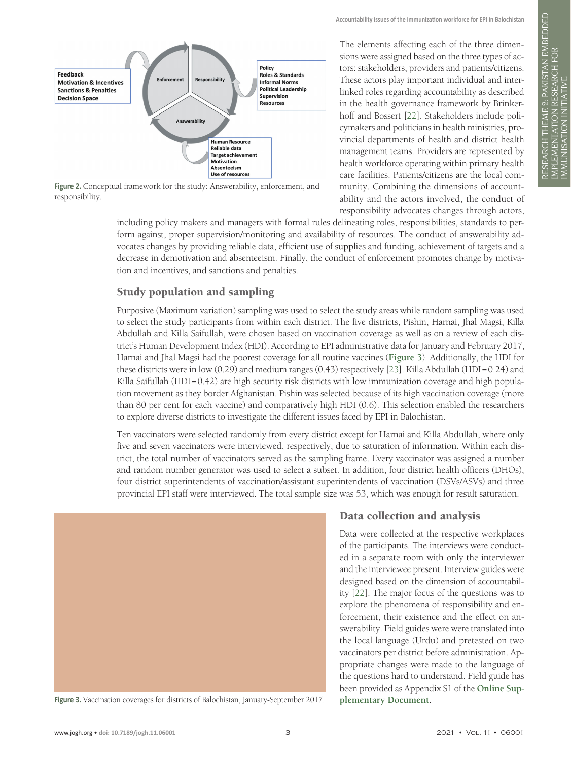<span id="page-2-0"></span>

Figure 2. Conceptual framework for the study: Answerability, enforcement, and responsibility.

The elements affecting each of the three dimensions were assigned based on the three types of actors: stakeholders, providers and patients/citizens. These actors play important individual and interlinked roles regarding accountability as described in the health governance framework by Brinkerhoff and Bossert [[22\]](#page-8-20). Stakeholders include policymakers and politicians in health ministries, provincial departments of health and district health management teams. Providers are represented by health workforce operating within primary health care facilities. Patients/citizens are the local community. Combining the dimensions of accountability and the actors involved, the conduct of responsibility advocates changes through actors,

including policy makers and managers with formal rules delineating roles, responsibilities, standards to perform against, proper supervision/monitoring and availability of resources. The conduct of answerability advocates changes by providing reliable data, efficient use of supplies and funding, achievement of targets and a decrease in demotivation and absenteeism. Finally, the conduct of enforcement promotes change by motivation and incentives, and sanctions and penalties.

# Study population and sampling

Purposive (Maximum variation) sampling was used to select the study areas while random sampling was used to select the study participants from within each district. The five districts, Pishin, Harnai, Jhal Magsi, Killa Abdullah and Killa Saifullah, were chosen based on vaccination coverage as well as on a review of each district's Human Development Index (HDI). According to EPI administrative data for January and February 2017, Harnai and Jhal Magsi had the poorest coverage for all routine vaccines (**[Figure 3](#page-2-1)**). Additionally, the HDI for these districts were in low (0.29) and medium ranges (0.43) respectively [\[23](#page-8-21)]. Killa Abdullah (HDI=0.24) and Killa Saifullah (HDI=0.42) are high security risk districts with low immunization coverage and high population movement as they border Afghanistan. Pishin was selected because of its high vaccination coverage (more than 80 per cent for each vaccine) and comparatively high HDI (0.6). This selection enabled the researchers to explore diverse districts to investigate the different issues faced by EPI in Balochistan.

Ten vaccinators were selected randomly from every district except for Harnai and Killa Abdullah, where only five and seven vaccinators were interviewed, respectively, due to saturation of information. Within each district, the total number of vaccinators served as the sampling frame. Every vaccinator was assigned a number and random number generator was used to select a subset. In addition, four district health officers (DHOs), four district superintendents of vaccination/assistant superintendents of vaccination (DSVs/ASVs) and three provincial EPI staff were interviewed. The total sample size was 53, which was enough for result saturation.

<span id="page-2-1"></span>

**Figure 3.** Vaccination coverages for districts of Balochistan, January-September 2017.

## Data collection and analysis

Data were collected at the respective workplaces of the participants. The interviews were conducted in a separate room with only the interviewer and the interviewee present. Interview guides were designed based on the dimension of accountability [\[22](#page-8-20)]. The major focus of the questions was to explore the phenomena of responsibility and enforcement, their existence and the effect on answerability. Field guides were were translated into the local language (Urdu) and pretested on two vaccinators per district before administration. Appropriate changes were made to the language of the questions hard to understand. Field guide has been provided as Appendix S1 of the **[Online Sup](#page-8-22)[plementary Document](#page-8-22)**.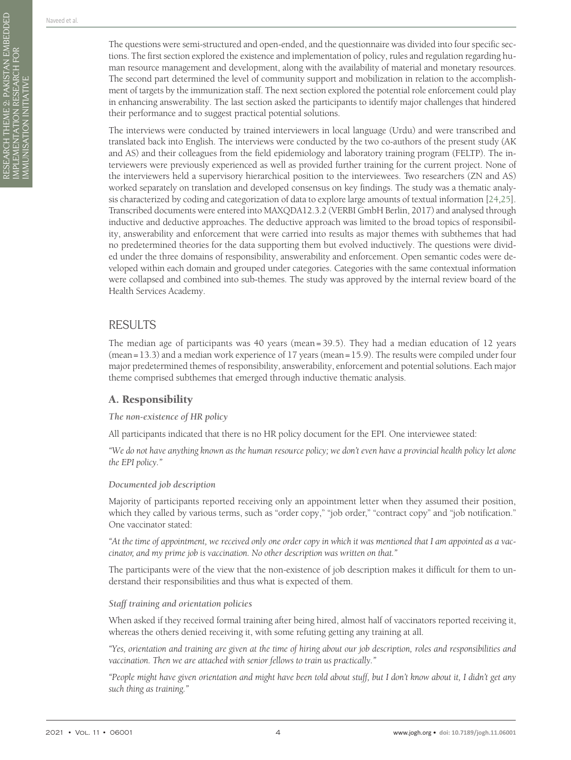RESEARCH THEME 2: PAKISTAN EMBEDDED

IMPLEMENTATION RESEARCH FOR IMMUNISATION INITIATIVE

RESEARCH THEME 2: PAKISTAN EMBEDDED<br>IMPLEMENTATION RESEARCH FOR<br>IMMUNISATION INITIATIVE

The questions were semi-structured and open-ended, and the questionnaire was divided into four specific sections. The first section explored the existence and implementation of policy, rules and regulation regarding human resource management and development, along with the availability of material and monetary resources. The second part determined the level of community support and mobilization in relation to the accomplishment of targets by the immunization staff. The next section explored the potential role enforcement could play in enhancing answerability. The last section asked the participants to identify major challenges that hindered their performance and to suggest practical potential solutions.

The interviews were conducted by trained interviewers in local language (Urdu) and were transcribed and translated back into English. The interviews were conducted by the two co-authors of the present study (AK and AS) and their colleagues from the field epidemiology and laboratory training program (FELTP). The interviewers were previously experienced as well as provided further training for the current project. None of the interviewers held a supervisory hierarchical position to the interviewees. Two researchers (ZN and AS) worked separately on translation and developed consensus on key findings. The study was a thematic analysis characterized by coding and categorization of data to explore large amounts of textual information [\[24](#page-9-0),[25\]](#page-9-1). Transcribed documents were entered into MAXQDA12.3.2 (VERBI GmbH Berlin, 2017) and analysed through inductive and deductive approaches. The deductive approach was limited to the broad topics of responsibility, answerability and enforcement that were carried into results as major themes with subthemes that had no predetermined theories for the data supporting them but evolved inductively. The questions were divided under the three domains of responsibility, answerability and enforcement. Open semantic codes were developed within each domain and grouped under categories. Categories with the same contextual information were collapsed and combined into sub-themes. The study was approved by the internal review board of the Health Services Academy.

# RESULTS

The median age of participants was 40 years (mean= 39.5). They had a median education of 12 years (mean=13.3) and a median work experience of 17 years (mean=15.9). The results were compiled under four major predetermined themes of responsibility, answerability, enforcement and potential solutions. Each major theme comprised subthemes that emerged through inductive thematic analysis.

# A. Responsibility

### *The non-existence of HR policy*

All participants indicated that there is no HR policy document for the EPI. One interviewee stated:

*"We do not have anything known as the human resource policy; we don't even have a provincial health policy let alone the EPI policy."*

### *Documented job description*

Majority of participants reported receiving only an appointment letter when they assumed their position, which they called by various terms, such as "order copy," "job order," "contract copy" and "job notification." One vaccinator stated:

*"At the time of appointment, we received only one order copy in which it was mentioned that I am appointed as a vaccinator, and my prime job is vaccination. No other description was written on that."*

The participants were of the view that the non-existence of job description makes it difficult for them to understand their responsibilities and thus what is expected of them.

### *Staff training and orientation policies*

When asked if they received formal training after being hired, almost half of vaccinators reported receiving it, whereas the others denied receiving it, with some refuting getting any training at all.

*"Yes, orientation and training are given at the time of hiring about our job description, roles and responsibilities and vaccination. Then we are attached with senior fellows to train us practically."*

*"People might have given orientation and might have been told about stuff, but I don't know about it, I didn't get any such thing as training."*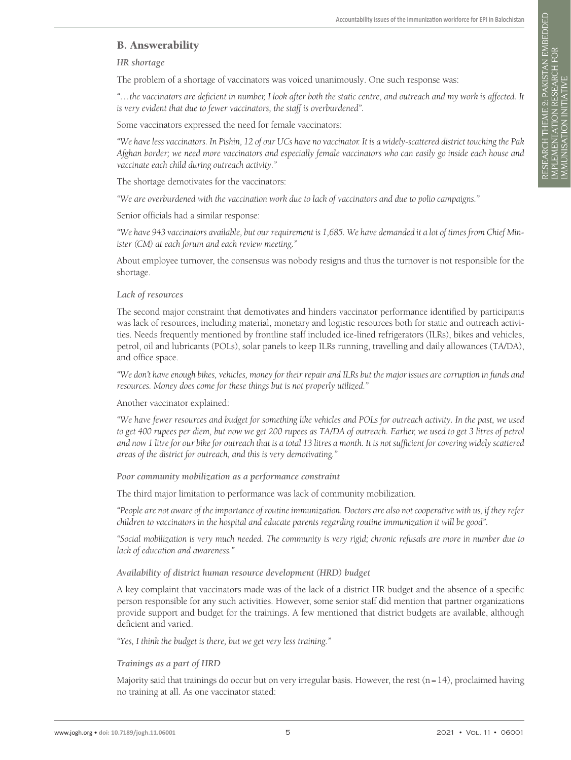# B. Answerability

*HR shortage*

The problem of a shortage of vaccinators was voiced unanimously. One such response was:

*"…the vaccinators are deficient in number, I look after both the static centre, and outreach and my work is affected. It is very evident that due to fewer vaccinators, the staff is overburdened".*

Some vaccinators expressed the need for female vaccinators:

*"We have less vaccinators. In Pishin, 12 of our UCs have no vaccinator. It is a widely-scattered district touching the Pak Afghan border; we need more vaccinators and especially female vaccinators who can easily go inside each house and vaccinate each child during outreach activity."*

The shortage demotivates for the vaccinators:

*"We are overburdened with the vaccination work due to lack of vaccinators and due to polio campaigns."*

Senior officials had a similar response:

*"We have 943 vaccinators available, but our requirement is 1,685. We have demanded it a lot of times from Chief Minister (CM) at each forum and each review meeting."*

About employee turnover, the consensus was nobody resigns and thus the turnover is not responsible for the shortage.

#### *Lack of resources*

The second major constraint that demotivates and hinders vaccinator performance identified by participants was lack of resources, including material, monetary and logistic resources both for static and outreach activities. Needs frequently mentioned by frontline staff included ice-lined refrigerators (ILRs), bikes and vehicles, petrol, oil and lubricants (POLs), solar panels to keep ILRs running, travelling and daily allowances (TA/DA), and office space.

*"We don't have enough bikes, vehicles, money for their repair and ILRs but the major issues are corruption in funds and resources. Money does come for these things but is not properly utilized."*

Another vaccinator explained:

*"We have fewer resources and budget for something like vehicles and POLs for outreach activity. In the past, we used*  to get 400 rupees per diem, but now we get 200 rupees as TA/DA of outreach. Earlier, we used to get 3 litres of petrol *and now 1 litre for our bike for outreach that is a total 13 litres a month. It is not sufficient for covering widely scattered areas of the district for outreach, and this is very demotivating."*

*Poor community mobilization as a performance constraint*

The third major limitation to performance was lack of community mobilization.

*"People are not aware of the importance of routine immunization. Doctors are also not cooperative with us, if they refer children to vaccinators in the hospital and educate parents regarding routine immunization it will be good".*

*"Social mobilization is very much needed. The community is very rigid; chronic refusals are more in number due to lack of education and awareness."*

#### *Availability of district human resource development (HRD) budget*

A key complaint that vaccinators made was of the lack of a district HR budget and the absence of a specific person responsible for any such activities. However, some senior staff did mention that partner organizations provide support and budget for the trainings. A few mentioned that district budgets are available, although deficient and varied.

*"Yes, I think the budget is there, but we get very less training."*

#### *Trainings as a part of HRD*

Majority said that trainings do occur but on very irregular basis. However, the rest  $(n=14)$ , proclaimed having no training at all. As one vaccinator stated: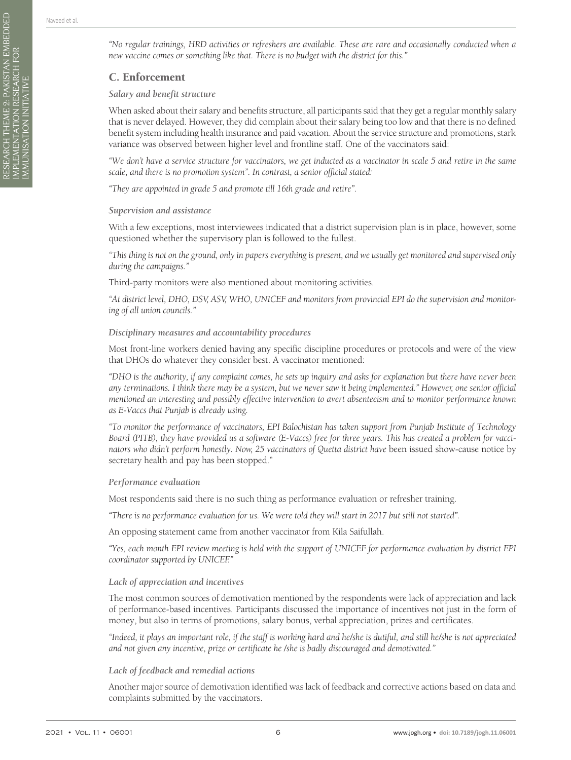RESEARCH THEME 2: PAKISTAN EMBEDDED

IMPLEMENTATION RESEARCH FOR IMMUNISATION INITIATIVE

RESEARCH THEME 2: PAKISTAN EMBEDDED<br>IMPLEMENTATION RESEARCH FOR<br>IMMUNISATION INITIATIVE

## C. Enforcement

#### *Salary and benefit structure*

When asked about their salary and benefits structure, all participants said that they get a regular monthly salary that is never delayed. However, they did complain about their salary being too low and that there is no defined benefit system including health insurance and paid vacation. About the service structure and promotions, stark variance was observed between higher level and frontline staff. One of the vaccinators said:

*"We don't have a service structure for vaccinators, we get inducted as a vaccinator in scale 5 and retire in the same scale, and there is no promotion system". In contrast, a senior official stated:*

*"They are appointed in grade 5 and promote till 16th grade and retire".*

#### *Supervision and assistance*

With a few exceptions, most interviewees indicated that a district supervision plan is in place, however, some questioned whether the supervisory plan is followed to the fullest.

*"This thing is not on the ground, only in papers everything is present, and we usually get monitored and supervised only during the campaigns."*

Third-party monitors were also mentioned about monitoring activities.

*"At district level, DHO, DSV, ASV, WHO, UNICEF and monitors from provincial EPI do the supervision and monitoring of all union councils."*

#### *Disciplinary measures and accountability procedures*

Most front-line workers denied having any specific discipline procedures or protocols and were of the view that DHOs do whatever they consider best. A vaccinator mentioned:

*"DHO is the authority, if any complaint comes, he sets up inquiry and asks for explanation but there have never been any terminations. I think there may be a system, but we never saw it being implemented." However, one senior official mentioned an interesting and possibly effective intervention to avert absenteeism and to monitor performance known as E-Vaccs that Punjab is already using.*

*"To monitor the performance of vaccinators, EPI Balochistan has taken support from Punjab Institute of Technology Board (PITB), they have provided us a software (E-Vaccs) free for three years. This has created a problem for vaccinators who didn't perform honestly. Now, 25 vaccinators of Quetta district have been issued show-cause notice by* secretary health and pay has been stopped."

#### *Performance evaluation*

Most respondents said there is no such thing as performance evaluation or refresher training.

*"There is no performance evaluation for us. We were told they will start in 2017 but still not started".*

An opposing statement came from another vaccinator from Kila Saifullah.

*"Yes, each month EPI review meeting is held with the support of UNICEF for performance evaluation by district EPI coordinator supported by UNICEF."*

#### *Lack of appreciation and incentives*

The most common sources of demotivation mentioned by the respondents were lack of appreciation and lack of performance-based incentives. Participants discussed the importance of incentives not just in the form of money, but also in terms of promotions, salary bonus, verbal appreciation, prizes and certificates.

*"Indeed, it plays an important role, if the staff is working hard and he/she is dutiful, and still he/she is not appreciated and not given any incentive, prize or certificate he /she is badly discouraged and demotivated."*

#### *Lack of feedback and remedial actions*

Another major source of demotivation identified was lack of feedback and corrective actions based on data and complaints submitted by the vaccinators.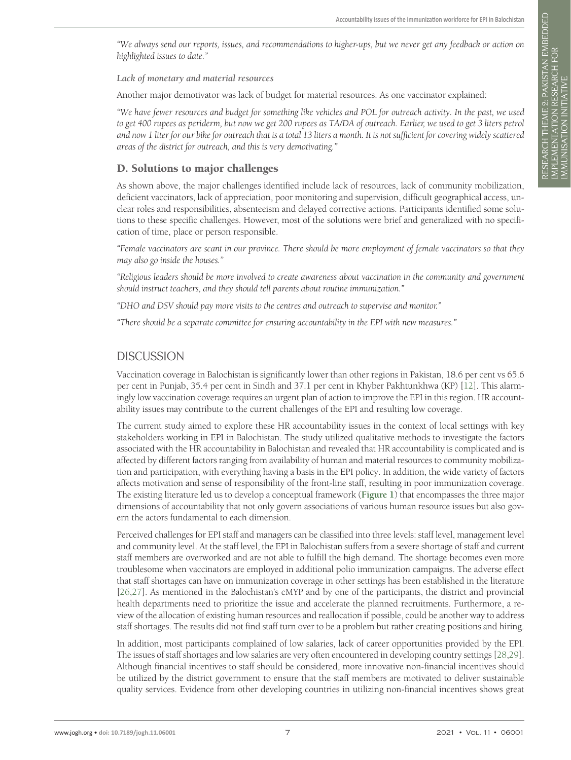*"We always send our reports, issues, and recommendations to higher-ups, but we never get any feedback or action on highlighted issues to date."*

*Lack of monetary and material resources*

Another major demotivator was lack of budget for material resources. As one vaccinator explained:

*"We have fewer resources and budget for something like vehicles and POL for outreach activity. In the past, we used to get 400 rupees as periderm, but now we get 200 rupees as TA/DA of outreach. Earlier, we used to get 3 liters petrol and now 1 liter for our bike for outreach that is a total 13 liters a month. It is not sufficient for covering widely scattered areas of the district for outreach, and this is very demotivating."*

### D. Solutions to major challenges

As shown above, the major challenges identified include lack of resources, lack of community mobilization, deficient vaccinators, lack of appreciation, poor monitoring and supervision, difficult geographical access, unclear roles and responsibilities, absenteeism and delayed corrective actions. Participants identified some solutions to these specific challenges. However, most of the solutions were brief and generalized with no specification of time, place or person responsible.

*"Female vaccinators are scant in our province. There should be more employment of female vaccinators so that they may also go inside the houses."*

*"Religious leaders should be more involved to create awareness about vaccination in the community and government should instruct teachers, and they should tell parents about routine immunization."*

*"DHO and DSV should pay more visits to the centres and outreach to supervise and monitor."*

*"There should be a separate committee for ensuring accountability in the EPI with new measures."*

# **DISCUSSION**

Vaccination coverage in Balochistan is significantly lower than other regions in Pakistan, 18.6 per cent vs 65.6 per cent in Punjab, 35.4 per cent in Sindh and 37.1 per cent in Khyber Pakhtunkhwa (KP) [[12\]](#page-8-10). This alarmingly low vaccination coverage requires an urgent plan of action to improve the EPI in this region. HR accountability issues may contribute to the current challenges of the EPI and resulting low coverage.

The current study aimed to explore these HR accountability issues in the context of local settings with key stakeholders working in EPI in Balochistan. The study utilized qualitative methods to investigate the factors associated with the HR accountability in Balochistan and revealed that HR accountability is complicated and is affected by different factors ranging from availability of human and material resources to community mobilization and participation, with everything having a basis in the EPI policy. In addition, the wide variety of factors affects motivation and sense of responsibility of the front-line staff, resulting in poor immunization coverage. The existing literature led us to develop a conceptual framework (**[Figure 1](#page-1-0)**) that encompasses the three major dimensions of accountability that not only govern associations of various human resource issues but also govern the actors fundamental to each dimension.

Perceived challenges for EPI staff and managers can be classified into three levels: staff level, management level and community level. At the staff level, the EPI in Balochistan suffers from a severe shortage of staff and current staff members are overworked and are not able to fulfill the high demand. The shortage becomes even more troublesome when vaccinators are employed in additional polio immunization campaigns. The adverse effect that staff shortages can have on immunization coverage in other settings has been established in the literature [\[26](#page-9-2),[27\]](#page-9-3). As mentioned in the Balochistan's cMYP and by one of the participants, the district and provincial health departments need to prioritize the issue and accelerate the planned recruitments. Furthermore, a review of the allocation of existing human resources and reallocation if possible, could be another way to address staff shortages. The results did not find staff turn over to be a problem but rather creating positions and hiring.

In addition, most participants complained of low salaries, lack of career opportunities provided by the EPI. The issues of staff shortages and low salaries are very often encountered in developing country settings [\[28,](#page-9-4)[29](#page-9-5)]. Although financial incentives to staff should be considered, more innovative non-financial incentives should be utilized by the district government to ensure that the staff members are motivated to deliver sustainable quality services. Evidence from other developing countries in utilizing non-financial incentives shows great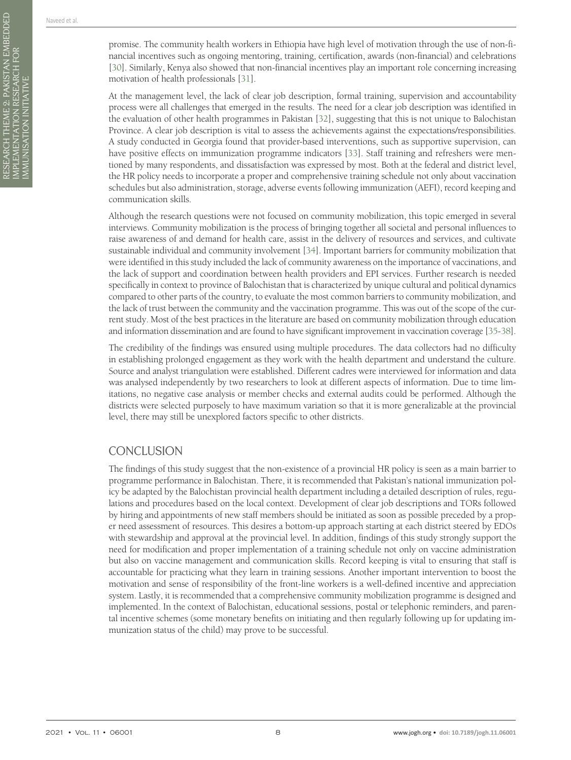RESEARCH THEME 2: PAKISTAN EMBEDDED

IMPLEMENTATION RESEARCH FOR IMMUNISATION INITIATIVE

RESEARCH THEME 2: PAKISTAN EMBEDDED<br>IMPLEMENTATION RESEARCH FOR<br>IMMUNISATION INITIATIVE

At the management level, the lack of clear job description, formal training, supervision and accountability process were all challenges that emerged in the results. The need for a clear job description was identified in the evaluation of other health programmes in Pakistan [\[32](#page-9-8)], suggesting that this is not unique to Balochistan Province. A clear job description is vital to assess the achievements against the expectations/responsibilities. A study conducted in Georgia found that provider-based interventions, such as supportive supervision, can have positive effects on immunization programme indicators [[33](#page-9-9)]. Staff training and refreshers were mentioned by many respondents, and dissatisfaction was expressed by most. Both at the federal and district level, the HR policy needs to incorporate a proper and comprehensive training schedule not only about vaccination schedules but also administration, storage, adverse events following immunization (AEFI), record keeping and communication skills.

Although the research questions were not focused on community mobilization, this topic emerged in several interviews. Community mobilization is the process of bringing together all societal and personal influences to raise awareness of and demand for health care, assist in the delivery of resources and services, and cultivate sustainable individual and community involvement [\[34](#page-9-10)]. Important barriers for community mobilization that were identified in this study included the lack of community awareness on the importance of vaccinations, and the lack of support and coordination between health providers and EPI services. Further research is needed specifically in context to province of Balochistan that is characterized by unique cultural and political dynamics compared to other parts of the country, to evaluate the most common barriers to community mobilization, and the lack of trust between the community and the vaccination programme. This was out of the scope of the current study. Most of the best practices in the literature are based on community mobilization through education and information dissemination and are found to have significant improvement in vaccination coverage [\[35](#page-9-11)-[38\]](#page-9-12).

The credibility of the findings was ensured using multiple procedures. The data collectors had no difficulty in establishing prolonged engagement as they work with the health department and understand the culture. Source and analyst triangulation were established. Different cadres were interviewed for information and data was analysed independently by two researchers to look at different aspects of information. Due to time limitations, no negative case analysis or member checks and external audits could be performed. Although the districts were selected purposely to have maximum variation so that it is more generalizable at the provincial level, there may still be unexplored factors specific to other districts.

# **CONCLUSION**

The findings of this study suggest that the non-existence of a provincial HR policy is seen as a main barrier to programme performance in Balochistan. There, it is recommended that Pakistan's national immunization policy be adapted by the Balochistan provincial health department including a detailed description of rules, regulations and procedures based on the local context. Development of clear job descriptions and TORs followed by hiring and appointments of new staff members should be initiated as soon as possible preceded by a proper need assessment of resources. This desires a bottom-up approach starting at each district steered by EDOs with stewardship and approval at the provincial level. In addition, findings of this study strongly support the need for modification and proper implementation of a training schedule not only on vaccine administration but also on vaccine management and communication skills. Record keeping is vital to ensuring that staff is accountable for practicing what they learn in training sessions. Another important intervention to boost the motivation and sense of responsibility of the front-line workers is a well-defined incentive and appreciation system. Lastly, it is recommended that a comprehensive community mobilization programme is designed and implemented. In the context of Balochistan, educational sessions, postal or telephonic reminders, and parental incentive schemes (some monetary benefits on initiating and then regularly following up for updating immunization status of the child) may prove to be successful.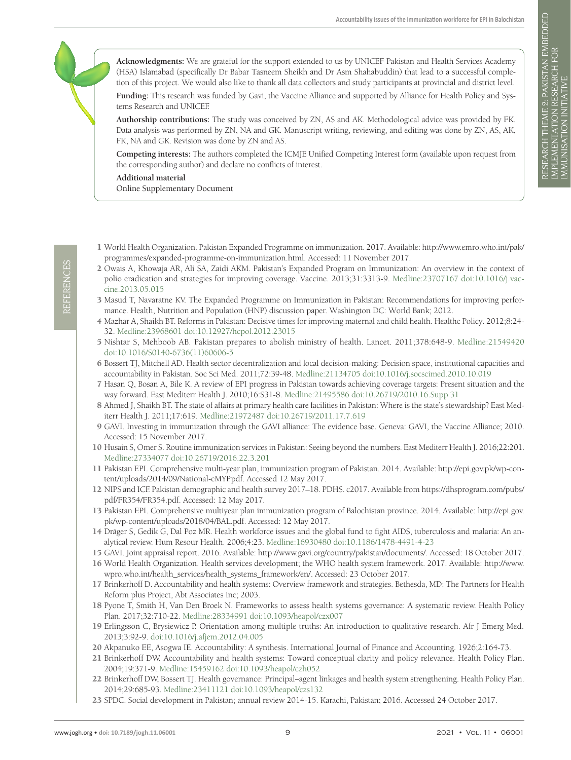**Acknowledgments:** We are grateful for the support extended to us by UNICEF Pakistan and Health Services Academy (HSA) Islamabad (specifically Dr Babar Tasneem Sheikh and Dr Asm Shahabuddin) that lead to a successful completion of this project. We would also like to thank all data collectors and study participants at provincial and district level.

**Funding:** This research was funded by Gavi, the Vaccine Alliance and supported by Alliance for Health Policy and Systems Research and UNICEF.

**Authorship contributions:** The study was conceived by ZN, AS and AK. Methodological advice was provided by FK. Data analysis was performed by ZN, NA and GK. Manuscript writing, reviewing, and editing was done by ZN, AS, AK, FK, NA and GK. Revision was done by ZN and AS.

**Competing interests:** The authors completed the ICMJE Unified Competing Interest form (available upon request from the corresponding author) and declare no conflicts of interest.

<span id="page-8-22"></span>**Additional material** [Online Supplementary Document](http://jogh.org/documents/2021/jogh-11-06001-s001.pdf)

- <span id="page-8-0"></span>1 World Health Organization. Pakistan Expanded Programme on immunization. 2017. Available: [http://www.emro.who.int/pak/](http://www.emro.who.int/pak/programmes/expanded-programme-on-immunization.html) [programmes/expanded-programme-on-immunization.html](http://www.emro.who.int/pak/programmes/expanded-programme-on-immunization.html). Accessed: 11 November 2017.
- <span id="page-8-1"></span>2 Owais A, Khowaja AR, Ali SA, Zaidi AKM. Pakistan's Expanded Program on Immunization: An overview in the context of polio eradication and strategies for improving coverage. Vaccine. 2013;31:3313-9. [Medline:23707167](https://www.ncbi.nlm.nih.gov/entrez/query.fcgi?cmd=Retrieve&db=PubMed&list_uids=23707167&dopt=Abstract) [doi:10.1016/j.vac](https://doi.org/10.1016/j.vaccine.2013.05.015)[cine.2013.05.015](https://doi.org/10.1016/j.vaccine.2013.05.015)
- <span id="page-8-2"></span>3 Masud T, Navaratne KV. The Expanded Programme on Immunization in Pakistan: Recommendations for improving performance. Health, Nutrition and Population (HNP) discussion paper. Washington DC: World Bank; 2012.
- <span id="page-8-3"></span>4 Mazhar A, Shaikh BT. Reforms in Pakistan: Decisive times for improving maternal and child health. Healthc Policy. 2012;8:24- 32. [Medline:23968601](https://www.ncbi.nlm.nih.gov/entrez/query.fcgi?cmd=Retrieve&db=PubMed&list_uids=23968601&dopt=Abstract) [doi:10.12927/hcpol.2012.23015](https://doi.org/10.12927/hcpol.2012.23015)
- 5 Nishtar S, Mehboob AB. Pakistan prepares to abolish ministry of health. Lancet. 2011;378:648-9. [Medline:21549420](https://www.ncbi.nlm.nih.gov/entrez/query.fcgi?cmd=Retrieve&db=PubMed&list_uids=21549420&dopt=Abstract) [doi:10.1016/S0140-6736\(11\)60606-5](https://doi.org/10.1016/S0140-6736(11)60606-5)
- <span id="page-8-4"></span>6 Bossert TJ, Mitchell AD. Health sector decentralization and local decision-making: Decision space, institutional capacities and accountability in Pakistan. Soc Sci Med. 2011;72:39-48. [Medline:21134705](https://www.ncbi.nlm.nih.gov/entrez/query.fcgi?cmd=Retrieve&db=PubMed&list_uids=21134705&dopt=Abstract) [doi:10.1016/j.socscimed.2010.10.019](https://doi.org/10.1016/j.socscimed.2010.10.019)
- <span id="page-8-5"></span>7 Hasan Q, Bosan A, Bile K. A review of EPI progress in Pakistan towards achieving coverage targets: Present situation and the way forward. East Mediterr Health J. 2010;16:S31-8. [Medline:21495586](https://www.ncbi.nlm.nih.gov/entrez/query.fcgi?cmd=Retrieve&db=PubMed&list_uids=21495586&dopt=Abstract) [doi:10.26719/2010.16.Supp.31](https://doi.org/10.26719/2010.16.Supp.31)
- <span id="page-8-6"></span>8 Ahmed J, Shaikh BT. The state of affairs at primary health care facilities in Pakistan: Where is the state's stewardship? East Mediterr Health J. 2011;17:619. [Medline:21972487](https://www.ncbi.nlm.nih.gov/entrez/query.fcgi?cmd=Retrieve&db=PubMed&list_uids=21972487&dopt=Abstract) [doi:10.26719/2011.17.7.619](https://doi.org/10.26719/2011.17.7.619)
- <span id="page-8-7"></span>9 GAVI. Investing in immunization through the GAVI alliance: The evidence base. Geneva: GAVI, the Vaccine Alliance; 2010. Accessed: 15 November 2017.
- <span id="page-8-8"></span>10 Husain S, Omer S. Routine immunization services in Pakistan: Seeing beyond the numbers. East Mediterr Health J. 2016;22:201. [Medline:27334077](https://www.ncbi.nlm.nih.gov/entrez/query.fcgi?cmd=Retrieve&db=PubMed&list_uids=27334077&dopt=Abstract) [doi:10.26719/2016.22.3.201](https://doi.org/10.26719/2016.22.3.201)
- <span id="page-8-9"></span>11 Pakistan EPI. Comprehensive multi-year plan, immunization program of Pakistan. 2014. Available: [http://epi.gov.pk/wp-con](http://epi.gov.pk/wp-content/uploads/2014/09/National-cMYP.pdf)[tent/uploads/2014/09/National-cMYP.pdf](http://epi.gov.pk/wp-content/uploads/2014/09/National-cMYP.pdf). Accessed 12 May 2017.
- <span id="page-8-10"></span>12 NIPS and ICF. Pakistan demographic and health survey 2017–18. PDHS. c2017. Available from [https://dhsprogram.com/pubs/](https://dhsprogram.com/pubs/pdf/FR354/FR354.pdf) [pdf/FR354/FR354.pdf.](https://dhsprogram.com/pubs/pdf/FR354/FR354.pdf) Accessed: 12 May 2017.
- <span id="page-8-11"></span>13 Pakistan EPI. Comprehensive multiyear plan immunization program of Balochistan province. 2014. Available: [http://epi.gov.](http://epi.gov.pk/wp-content/uploads/2018/04/BAL.pdf) [pk/wp-content/uploads/2018/04/BAL.pdf.](http://epi.gov.pk/wp-content/uploads/2018/04/BAL.pdf) Accessed: 12 May 2017.
- <span id="page-8-12"></span>14 Dräger S, Gedik G, Dal Poz MR. Health workforce issues and the global fund to fight AIDS, tuberculosis and malaria: An analytical review. Hum Resour Health. 2006;4:23. [Medline:16930480](https://www.ncbi.nlm.nih.gov/entrez/query.fcgi?cmd=Retrieve&db=PubMed&list_uids=16930480&dopt=Abstract) [doi:10.1186/1478-4491-4-23](https://doi.org/10.1186/1478-4491-4-23)
- <span id="page-8-13"></span>15 GAVI. Joint appraisal report. 2016. Available:<http://www.gavi.org/country/pakistan/documents/>. Accessed: 18 October 2017.
- <span id="page-8-14"></span>16 World Health Organization. Health services development; the WHO health system framework. 2017. Available: [http://www.](http://www.wpro.who.int/health_services/health_systems_framework/en/) [wpro.who.int/health\\_services/health\\_systems\\_framework/en/](http://www.wpro.who.int/health_services/health_systems_framework/en/). Accessed: 23 October 2017.
- <span id="page-8-15"></span>17 Brinkerhoff D. Accountability and health systems: Overview framework and strategies. Bethesda, MD: The Partners for Health Reform plus Project, Abt Associates Inc; 2003.
- <span id="page-8-16"></span>18 Pyone T, Smith H, Van Den Broek N. Frameworks to assess health systems governance: A systematic review. Health Policy Plan. 2017;32:710-22. [Medline:28334991](https://www.ncbi.nlm.nih.gov/entrez/query.fcgi?cmd=Retrieve&db=PubMed&list_uids=28334991&dopt=Abstract) [doi:10.1093/heapol/czx007](https://doi.org/10.1093/heapol/czx007)
- <span id="page-8-17"></span>19 Erlingsson C, Brysiewicz P. Orientation among multiple truths: An introduction to qualitative research. Afr J Emerg Med. 2013;3:92-9. [doi:10.1016/j.afjem.2012.04.005](https://doi.org/10.1016/j.afjem.2012.04.005)
- <span id="page-8-18"></span>20 Akpanuko EE, Asogwa IE. Accountability: A synthesis. International Journal of Finance and Accounting. 1926;2:164-73.
- <span id="page-8-19"></span>21 Brinkerhoff DW. Accountability and health systems: Toward conceptual clarity and policy relevance. Health Policy Plan. 2004;19:371-9. [Medline:15459162](https://www.ncbi.nlm.nih.gov/entrez/query.fcgi?cmd=Retrieve&db=PubMed&list_uids=15459162&dopt=Abstract) [doi:10.1093/heapol/czh052](https://doi.org/10.1093/heapol/czh052)
- <span id="page-8-20"></span>22 Brinkerhoff DW, Bossert TJ. Health governance: Principal–agent linkages and health system strengthening. Health Policy Plan. 2014;29:685-93. [Medline:23411121](https://www.ncbi.nlm.nih.gov/entrez/query.fcgi?cmd=Retrieve&db=PubMed&list_uids=23411121&dopt=Abstract) [doi:10.1093/heapol/czs132](https://doi.org/10.1093/heapol/czs132)
- <span id="page-8-21"></span>23 SPDC. Social development in Pakistan; annual review 2014-15. Karachi, Pakistan; 2016. Accessed 24 October 2017.